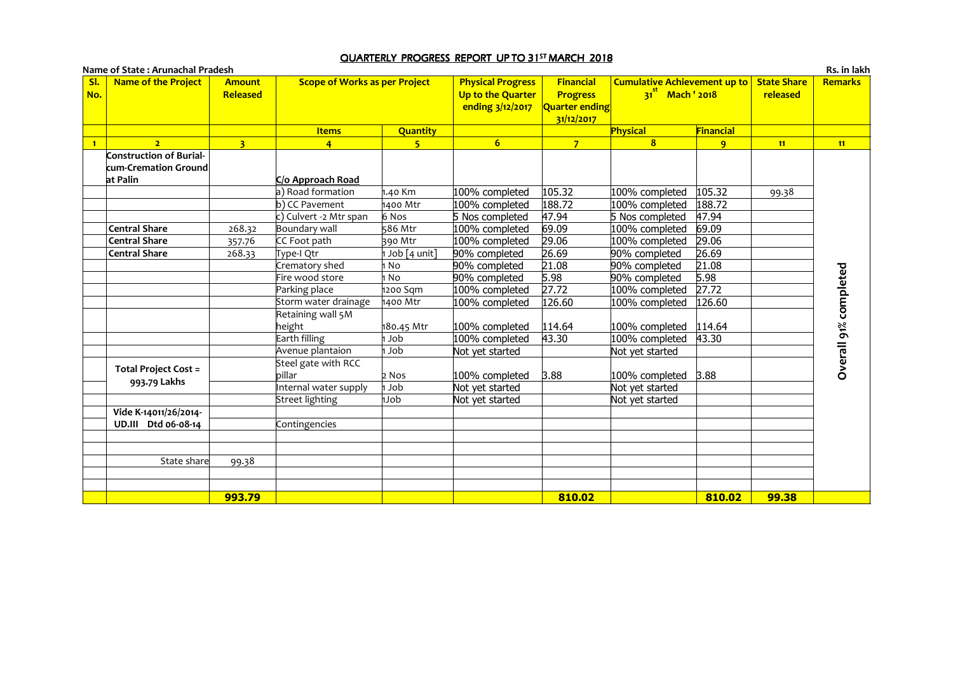## <u>QUARTERLY PROGRESS REPORT UP TO 31<sup>st</sup> MARCH 2018</u>

| <b>Name of the Project</b><br>SI.<br>No.               | <b>Amount</b><br>Released | <b>Scope of Works as per Project</b> |                 | <b>Physical Progress</b><br>Up to the Quarter<br>ending 3/12/2017 | <b>Financial</b><br><b>Progress</b><br><b>Quarter ending</b><br>31/12/2017 | <b>Cumulative Achievement up to</b><br>$31st$ Mach $'$ 2018 |              | <b>State Share</b><br>released | Remarks               |
|--------------------------------------------------------|---------------------------|--------------------------------------|-----------------|-------------------------------------------------------------------|----------------------------------------------------------------------------|-------------------------------------------------------------|--------------|--------------------------------|-----------------------|
|                                                        |                           | <b>Items</b>                         | <b>Quantity</b> |                                                                   |                                                                            | Physical                                                    | Financial    |                                |                       |
| $\overline{2}$                                         | $\overline{\mathbf{3}}$   | $\overline{4}$                       | 5 <sup>2</sup>  | 6 <sup>1</sup>                                                    | 7 <sup>7</sup>                                                             | 8                                                           | $\mathbf{q}$ | 11                             | 11                    |
| <b>Construction of Burial-</b><br>cum-Cremation Ground |                           |                                      |                 |                                                                   |                                                                            |                                                             |              |                                |                       |
| at Palin                                               |                           | C/o Approach Road                    |                 |                                                                   |                                                                            |                                                             |              |                                |                       |
|                                                        |                           | a) Road formation                    | 1.40 Km         | 100% completed                                                    | 105.32                                                                     | 100% completed                                              | 105.32       | 99.38                          |                       |
|                                                        |                           | $\overline{b)}$ CC Pavement          | 1400 Mtr        | 100% completed                                                    | 188.72                                                                     | 100% completed                                              | 188.72       |                                |                       |
|                                                        |                           | c) Culvert -2 Mtr span               | 6 Nos           | 5 Nos completed                                                   | 47.94                                                                      | 5 Nos completed                                             | 47.94        |                                |                       |
| <b>Central Share</b>                                   | 268.32                    | Boundary wall                        | 586 Mtr         | 100% completed                                                    | 69.09                                                                      | 100% completed                                              | 69.09        |                                |                       |
| <b>Central Share</b>                                   | 357.76                    | CC Foot path                         | 390 Mtr         | 100% completed                                                    | 29.06                                                                      | 100% completed                                              | 29.06        |                                |                       |
| <b>Central Share</b>                                   | 268.33                    | Type-I Qtr                           | Job [4 unit]    | 90% completed                                                     | 26.69                                                                      | 90% completed                                               | 26.69        |                                |                       |
|                                                        |                           | Crematory shed                       | 1 No            | 90% completed                                                     | 21.08                                                                      | 90% completed                                               | 21.08        |                                | Overall 91% completed |
|                                                        |                           | Fire wood store                      | 1 No            | 90% completed                                                     | 5.98                                                                       | 90% completed                                               | 5.98         |                                |                       |
|                                                        |                           | Parking place                        | 1200 Sqm        | 100% completed                                                    | 27.72                                                                      | 100% completed                                              | 27.72        |                                |                       |
|                                                        |                           | Storm water drainage                 | 1400 Mtr        | 100% completed                                                    | 126.60                                                                     | 100% completed                                              | 126.60       |                                |                       |
|                                                        |                           | Retaining wall 5M                    |                 |                                                                   |                                                                            |                                                             |              |                                |                       |
|                                                        |                           | height                               | 180.45 Mtr      | 100% completed                                                    | 114.64                                                                     | 100% completed                                              | 114.64       |                                |                       |
|                                                        |                           | Earth filling                        | 1 Job           | 100% completed                                                    | 43.30                                                                      | 100% completed                                              | 43.30        |                                |                       |
|                                                        |                           | Avenue plantaion                     | dol 1           | Not yet started                                                   |                                                                            | Not yet started                                             |              |                                |                       |
| <b>Total Project Cost =</b><br>993.79 Lakhs            |                           | Steel gate with RCC                  |                 |                                                                   |                                                                            |                                                             |              |                                |                       |
|                                                        |                           | billar                               | $2$ Nos         | 100% completed                                                    | 3.88                                                                       | $100\%$ completed $3.88$                                    |              |                                |                       |
|                                                        |                           | Internal water supply                | dol h           | Not yet started                                                   |                                                                            | Not yet started                                             |              |                                |                       |
|                                                        |                           | Street lighting                      | dolh            | Not yet started                                                   |                                                                            | Not yet started                                             |              |                                |                       |
| Vide K-14011/26/2014-                                  |                           |                                      |                 |                                                                   |                                                                            |                                                             |              |                                |                       |
| UD.III Dtd 06-08-14                                    |                           | Contingencies                        |                 |                                                                   |                                                                            |                                                             |              |                                |                       |
|                                                        |                           |                                      |                 |                                                                   |                                                                            |                                                             |              |                                |                       |
| State share                                            | 99.38                     |                                      |                 |                                                                   |                                                                            |                                                             |              |                                |                       |
|                                                        |                           |                                      |                 |                                                                   |                                                                            |                                                             |              |                                |                       |
|                                                        | 993.79                    |                                      |                 |                                                                   | 810.02                                                                     |                                                             | 810.02       | 99.38                          |                       |